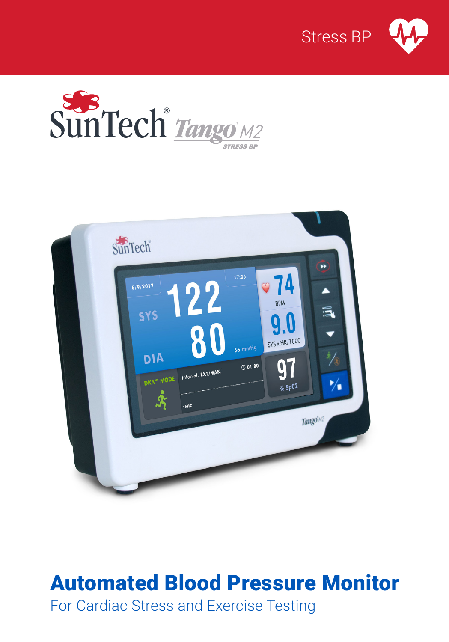





# Automated Blood Pressure Monitor

For Cardiac Stress and Exercise Testing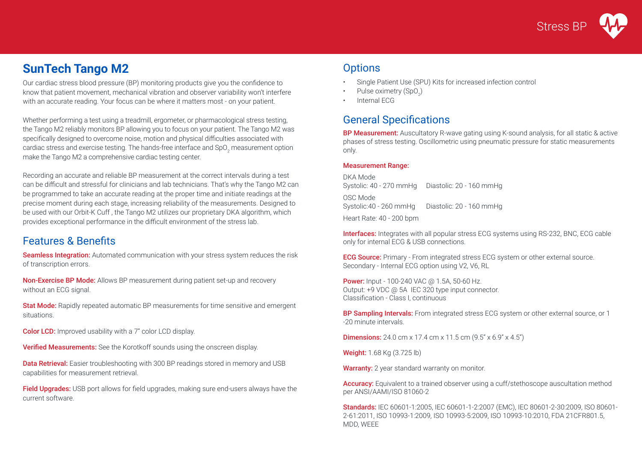**Stress BF** 

# **SunTech Tango M2**

Our cardiac stress blood pressure (BP) monitoring products give you the confidence to know that patient movement, mechanical vibration and observer variability won't interfere with an accurate reading. Your focus can be where it matters most - on your patient.

Whether performing a test using a treadmill, ergometer, or pharmacological stress testing, the Tango M2 reliably monitors BP allowing you to focus on your patient. The Tango M2 was specifically designed to overcome noise, motion and physical difficulties associated with cardiac stress and exercise testing. The hands-free interface and SpO<sub>2</sub> measurement option make the Tango M2 a comprehensive cardiac testing center.

Recording an accurate and reliable BP measurement at the correct intervals during a test can be difficult and stressful for clinicians and lab technicians. That's why the Tango M2 can be programmed to take an accurate reading at the proper time and initiate readings at the precise moment during each stage, increasing reliability of the measurements. Designed to be used with our Orbit-K Cuff , the Tango M2 utilizes our proprietary DKA algorithm, which provides exceptional performance in the difficult environment of the stress lab.

## Features & Benefits

Seamless Integration: Automated communication with your stress system reduces the risk of transcription errors.

Non-Exercise BP Mode: Allows BP measurement during patient set-up and recovery without an ECG signal.

Stat Mode: Rapidly repeated automatic BP measurements for time sensitive and emergent situations.

**Color LCD:** Improved usability with a 7" color LCD display.

Verified Measurements: See the Korotkoff sounds using the onscreen display.

**Data Retrieval:** Easier troubleshooting with 300 BP readings stored in memory and USB capabilities for measurement retrieval.

**Field Upgrades:** USB port allows for field upgrades, making sure end-users always have the current software.

# **Options**

- Single Patient Use (SPU) Kits for increased infection control
- Pulse oximetry  $(SpO<sub>2</sub>)$
- Internal ECG

# General Specifications

**BP Measurement:** Auscultatory R-wave gating using K-sound analysis, for all static & active phases of stress testing. Oscillometric using pneumatic pressure for static measurements only.

### Measurement Range:

DKA Mode Systolic: 40 - 270 mmHg Diastolic: 20 - 160 mmHg OSC Mode Systolic:40 - 260 mmHg Diastolic: 20 - 160 mmHg Heart Rate: 40 - 200 bpm

Interfaces: Integrates with all popular stress ECG systems using RS-232, BNC, ECG cable only for internal ECG & USB connections.

**ECG Source:** Primary - From integrated stress ECG system or other external source. Secondary - Internal ECG option using V2, V6, RL

**Power:** Input - 100-240 VAC @ 1.5A, 50-60 Hz. Output: +9 VDC @ 5A IEC 320 type input connector. Classification - Class I, continuous

BP Sampling Intervals: From integrated stress ECG system or other external source, or 1 -20 minute intervals.

**Dimensions:** 24.0 cm x 17.4 cm x 11.5 cm (9.5" x 6.9" x 4.5")

Weight: 1.68 Kg (3.725 lb)

Warranty: 2 year standard warranty on monitor.

Accuracy: Equivalent to a trained observer using a cuff/stethoscope auscultation method per ANSI/AAMI/ISO 81060-2

Standards: IEC 60601-1:2005, IEC 60601-1-2:2007 (EMC), IEC 80601-2-30:2009, ISO 80601- 2-61:2011, ISO 10993-1:2009, ISO 10993-5:2009, ISO 10993-10:2010, FDA 21CFR801.5, MDD, WEEE